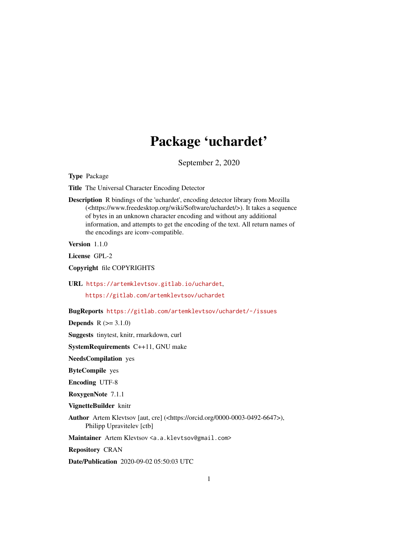## Package 'uchardet'

September 2, 2020

Type Package

Title The Universal Character Encoding Detector

Description R bindings of the 'uchardet', encoding detector library from Mozilla (<https://www.freedesktop.org/wiki/Software/uchardet/>). It takes a sequence of bytes in an unknown character encoding and without any additional information, and attempts to get the encoding of the text. All return names of the encodings are iconv-compatible.

Version 1.1.0

License GPL-2

Copyright file COPYRIGHTS

URL <https://artemklevtsov.gitlab.io/uchardet>,

<https://gitlab.com/artemklevtsov/uchardet>

BugReports <https://gitlab.com/artemklevtsov/uchardet/-/issues>

**Depends**  $R (=3.1.0)$ 

Suggests tinytest, knitr, rmarkdown, curl

SystemRequirements C++11, GNU make

NeedsCompilation yes

ByteCompile yes

Encoding UTF-8

RoxygenNote 7.1.1

VignetteBuilder knitr

Author Artem Klevtsov [aut, cre] (<https://orcid.org/0000-0003-0492-6647>), Philipp Upravitelev [ctb]

Maintainer Artem Klevtsov <a.a.klevtsov@gmail.com>

Repository CRAN

Date/Publication 2020-09-02 05:50:03 UTC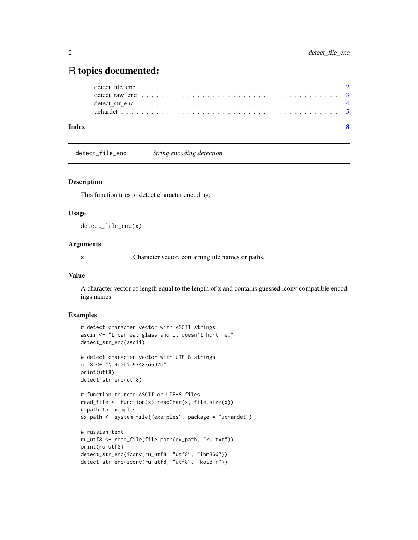### <span id="page-1-0"></span>R topics documented:

| Index |  |  |  |  |  |  |  |  |  |  |  |  |  |  |  |  |  |  |  |
|-------|--|--|--|--|--|--|--|--|--|--|--|--|--|--|--|--|--|--|--|
|       |  |  |  |  |  |  |  |  |  |  |  |  |  |  |  |  |  |  |  |
|       |  |  |  |  |  |  |  |  |  |  |  |  |  |  |  |  |  |  |  |
|       |  |  |  |  |  |  |  |  |  |  |  |  |  |  |  |  |  |  |  |
|       |  |  |  |  |  |  |  |  |  |  |  |  |  |  |  |  |  |  |  |

detect\_file\_enc *String encoding detection*

#### Description

This function tries to detect character encoding.

#### Usage

detect\_file\_enc(x)

#### Arguments

x Character vector, containing file names or paths.

#### Value

A character vector of length equal to the length of x and contains guessed iconv-compatible encodings names.

#### Examples

```
# detect character vector with ASCII strings
ascii <- "I can eat glass and it doesn't hurt me."
detect_str_enc(ascii)
```

```
# detect character vector with UTF-8 strings
utf8 <- "\u4e0b\u5348\u597d"
print(utf8)
detect_str_enc(utf8)
```

```
# function to read ASCII or UTF-8 files
read_file <- function(x) readChar(x, file.size(x))
# path to examples
ex_path <- system.file("examples", package = "uchardet")
```

```
# russian text
ru_utf8 <- read_file(file.path(ex_path, "ru.txt"))
print(ru_utf8)
detect_str_enc(iconv(ru_utf8, "utf8", "ibm866"))
detect_str_enc(iconv(ru_utf8, "utf8", "koi8-r"))
```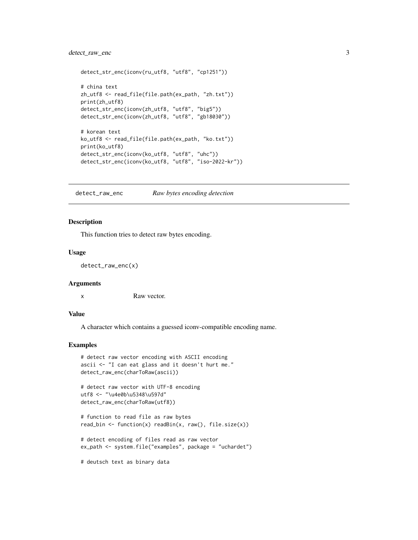#### <span id="page-2-0"></span>detect\_raw\_enc 3

```
detect_str_enc(iconv(ru_utf8, "utf8", "cp1251"))
# china text
zh_utf8 <- read_file(file.path(ex_path, "zh.txt"))
print(zh_utf8)
detect_str_enc(iconv(zh_utf8, "utf8", "big5"))
detect_str_enc(iconv(zh_utf8, "utf8", "gb18030"))
# korean text
ko_utf8 <- read_file(file.path(ex_path, "ko.txt"))
print(ko_utf8)
detect_str_enc(iconv(ko_utf8, "utf8", "uhc"))
detect_str_enc(iconv(ko_utf8, "utf8", "iso-2022-kr"))
```
detect\_raw\_enc *Raw bytes encoding detection*

#### Description

This function tries to detect raw bytes encoding.

#### Usage

detect\_raw\_enc(x)

#### Arguments

x Raw vector.

#### Value

A character which contains a guessed iconv-compatible encoding name.

#### Examples

```
# detect raw vector encoding with ASCII encoding
ascii <- "I can eat glass and it doesn't hurt me."
detect_raw_enc(charToRaw(ascii))
# detect raw vector with UTF-8 encoding
utf8 <- "\u4e0b\u5348\u597d"
detect_raw_enc(charToRaw(utf8))
# function to read file as raw bytes
read_bin <- function(x) readBin(x, raw(), file.size(x))
# detect encoding of files read as raw vector
ex_path <- system.file("examples", package = "uchardet")
```
# deutsch text as binary data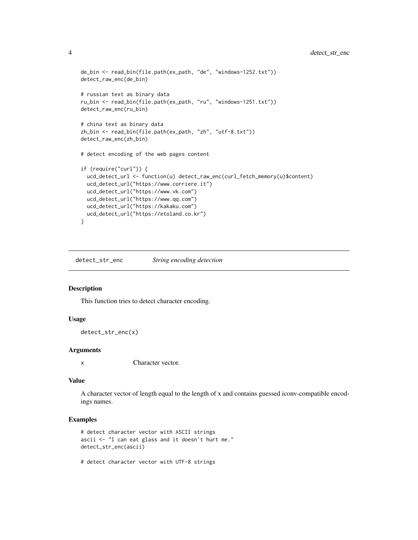```
de_bin <- read_bin(file.path(ex_path, "de", "windows-1252.txt"))
detect_raw_enc(de_bin)
# russian text as binary data
ru_bin <- read_bin(file.path(ex_path, "ru", "windows-1251.txt"))
detect_raw_enc(ru_bin)
# china text as binary data
zh_bin <- read_bin(file.path(ex_path, "zh", "utf-8.txt"))
detect_raw_enc(zh_bin)
# detect encoding of the web pages content
if (require("curl")) {
 ucd_detect_url <- function(u) detect_raw_enc(curl_fetch_memory(u)$content)
 ucd_detect_url("https://www.corriere.it")
 ucd_detect_url("https://www.vk.com")
 ucd_detect_url("https://www.qq.com")
 ucd_detect_url("https://kakaku.com")
 ucd_detect_url("https://etoland.co.kr")
}
```
detect\_str\_enc *String encoding detection*

#### Description

This function tries to detect character encoding.

#### Usage

```
detect_str_enc(x)
```
#### Arguments

x Character vector.

#### Value

A character vector of length equal to the length of x and contains guessed iconv-compatible encodings names.

#### Examples

```
# detect character vector with ASCII strings
ascii <- "I can eat glass and it doesn't hurt me."
detect_str_enc(ascii)
```
# detect character vector with UTF-8 strings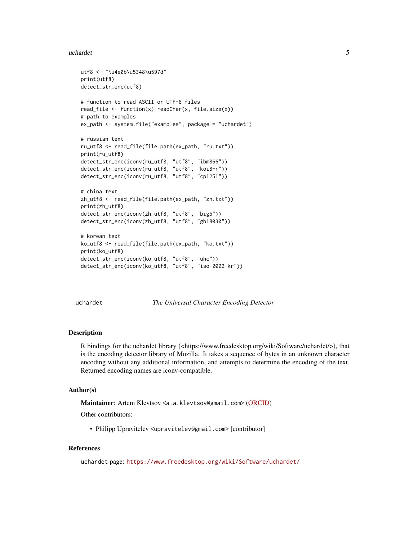#### <span id="page-4-0"></span>uchardet 5 and 5 and 5 and 5 and 5 and 5 and 5 and 5 and 5 and 5 and 5 and 5 and 5 and 5 and 5 and 5 and 5 and 5 and 5 and 5 and 5 and 5 and 5 and 5 and 5 and 5 and 5 and 5 and 5 and 5 and 5 and 5 and 5 and 5 and 5 and 5 a

```
utf8 <- "\u4e0b\u5348\u597d"
print(utf8)
detect_str_enc(utf8)
# function to read ASCII or UTF-8 files
read_file \leq function(x) readChar(x, file.size(x))
# path to examples
ex_path <- system.file("examples", package = "uchardet")
# russian text
ru_utf8 <- read_file(file.path(ex_path, "ru.txt"))
print(ru_utf8)
detect_str_enc(iconv(ru_utf8, "utf8", "ibm866"))
detect_str_enc(iconv(ru_utf8, "utf8", "koi8-r"))
detect_str_enc(iconv(ru_utf8, "utf8", "cp1251"))
# china text
zh_utf8 <- read_file(file.path(ex_path, "zh.txt"))
print(zh_utf8)
detect_str_enc(iconv(zh_utf8, "utf8", "big5"))
detect_str_enc(iconv(zh_utf8, "utf8", "gb18030"))
# korean text
ko_utf8 <- read_file(file.path(ex_path, "ko.txt"))
print(ko_utf8)
detect_str_enc(iconv(ko_utf8, "utf8", "uhc"))
detect_str_enc(iconv(ko_utf8, "utf8", "iso-2022-kr"))
```
uchardet *The Universal Character Encoding Detector*

#### **Description**

R bindings for the uchardet library (<https://www.freedesktop.org/wiki/Software/uchardet/>), that is the encoding detector library of Mozilla. It takes a sequence of bytes in an unknown character encoding without any additional information, and attempts to determine the encoding of the text. Returned encoding names are iconv-compatible.

#### Author(s)

Maintainer: Artem Klevtsov <a.a.klevtsov@gmail.com> [\(ORCID\)](https://orcid.org/0000-0003-0492-6647)

Other contributors:

• Philipp Upravitelev <upravitelev@gmail.com> [contributor]

#### References

uchardet page: <https://www.freedesktop.org/wiki/Software/uchardet/>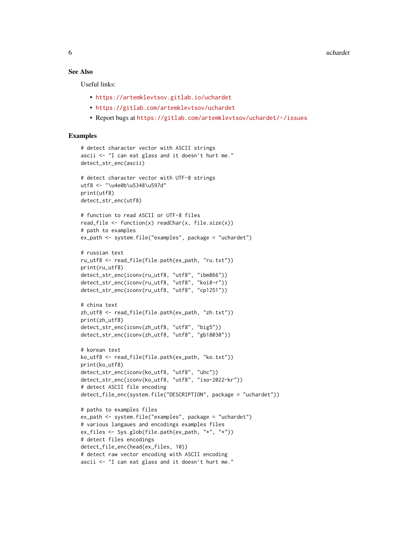#### See Also

Useful links:

- <https://artemklevtsov.gitlab.io/uchardet>
- <https://gitlab.com/artemklevtsov/uchardet>
- Report bugs at <https://gitlab.com/artemklevtsov/uchardet/-/issues>

#### **Examples**

```
# detect character vector with ASCII strings
ascii <- "I can eat glass and it doesn't hurt me."
detect_str_enc(ascii)
# detect character vector with UTF-8 strings
utf8 <- "\u4e0b\u5348\u597d"
print(utf8)
detect_str_enc(utf8)
# function to read ASCII or UTF-8 files
read_file \leq function(x) readChar(x, file.size(x))
# path to examples
ex_path <- system.file("examples", package = "uchardet")
# russian text
ru_utf8 <- read_file(file.path(ex_path, "ru.txt"))
print(ru_utf8)
detect_str_enc(iconv(ru_utf8, "utf8", "ibm866"))
detect_str_enc(iconv(ru_utf8, "utf8", "koi8-r"))
detect_str_enc(iconv(ru_utf8, "utf8", "cp1251"))
# china text
zh_utf8 <- read_file(file.path(ex_path, "zh.txt"))
print(zh_utf8)
detect_str_enc(iconv(zh_utf8, "utf8", "big5"))
detect_str_enc(iconv(zh_utf8, "utf8", "gb18030"))
# korean text
ko_utf8 <- read_file(file.path(ex_path, "ko.txt"))
print(ko_utf8)
detect_str_enc(iconv(ko_utf8, "utf8", "uhc"))
detect_str_enc(iconv(ko_utf8, "utf8", "iso-2022-kr"))
# detect ASCII file encoding
detect_file_enc(system.file("DESCRIPTION", package = "uchardet"))
# paths to examples files
ex_path <- system.file("examples", package = "uchardet")
# various langaues and encodings examples files
ex_files <- Sys.glob(file.path(ex_path, "*", "*"))
# detect files encodings
detect_file_enc(head(ex_files, 10))
# detect raw vector encoding with ASCII encoding
ascii <- "I can eat glass and it doesn't hurt me."
```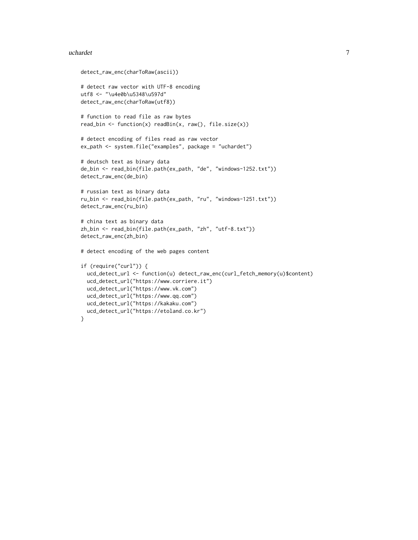#### uchardet 7 and 7 and 7 and 7 and 7 and 7 and 7 and 7 and 7 and 7 and 7 and 7 and 7 and 7 and 7 and 7 and 7 and 7 and 7 and 7 and 7 and 7 and 7 and 7 and 7 and 7 and 7 and 7 and 7 and 7 and 7 and 7 and 7 and 7 and 7 and 7 a

```
detect_raw_enc(charToRaw(ascii))
# detect raw vector with UTF-8 encoding
utf8 <- "\u4e0b\u5348\u597d"
detect_raw_enc(charToRaw(utf8))
# function to read file as raw bytes
read_bin <- function(x) readBin(x, raw(), file.size(x))
# detect encoding of files read as raw vector
ex_path <- system.file("examples", package = "uchardet")
# deutsch text as binary data
de_bin <- read_bin(file.path(ex_path, "de", "windows-1252.txt"))
detect_raw_enc(de_bin)
# russian text as binary data
ru_bin <- read_bin(file.path(ex_path, "ru", "windows-1251.txt"))
detect_raw_enc(ru_bin)
# china text as binary data
zh_bin <- read_bin(file.path(ex_path, "zh", "utf-8.txt"))
detect_raw_enc(zh_bin)
# detect encoding of the web pages content
if (require("curl")) {
  ucd_detect_url <- function(u) detect_raw_enc(curl_fetch_memory(u)$content)
  ucd_detect_url("https://www.corriere.it")
  ucd_detect_url("https://www.vk.com")
  ucd_detect_url("https://www.qq.com")
  ucd_detect_url("https://kakaku.com")
  ucd_detect_url("https://etoland.co.kr")
}
```